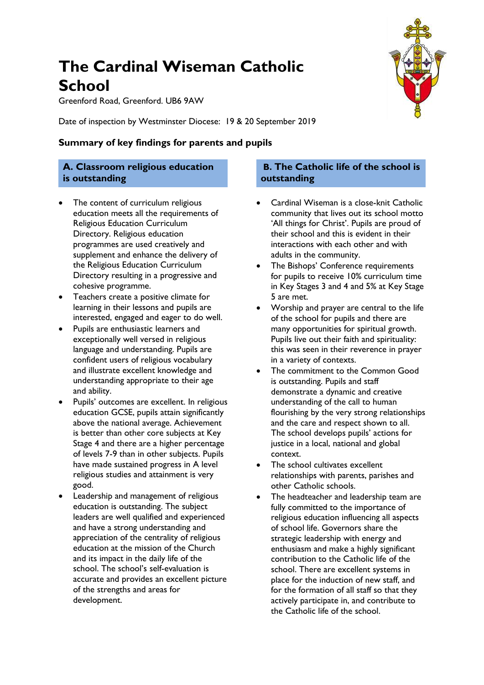# **The Cardinal Wiseman Catholic School**

Greenford Road, Greenford. UB6 9AW

Date of inspection by Westminster Diocese: 19 & 20 September 2019

**Summary of key findings for parents and pupils**

#### **A. Classroom religious education is outstanding**

- The content of curriculum religious education meets all the requirements of Religious Education Curriculum Directory. Religious education programmes are used creatively and supplement and enhance the delivery of the Religious Education Curriculum Directory resulting in a progressive and cohesive programme.
- Teachers create a positive climate for learning in their lessons and pupils are interested, engaged and eager to do well.
- Pupils are enthusiastic learners and exceptionally well versed in religious language and understanding. Pupils are confident users of religious vocabulary and illustrate excellent knowledge and understanding appropriate to their age and ability.
- Pupils' outcomes are excellent. In religious education GCSE, pupils attain significantly above the national average. Achievement is better than other core subjects at Key Stage 4 and there are a higher percentage of levels 7-9 than in other subjects. Pupils have made sustained progress in A level religious studies and attainment is very good.
- Leadership and management of religious education is outstanding. The subject leaders are well qualified and experienced and have a strong understanding and appreciation of the centrality of religious education at the mission of the Church and its impact in the daily life of the school. The school's self-evaluation is accurate and provides an excellent picture of the strengths and areas for development.

#### **B. The Catholic life of the school is outstanding**

- Cardinal Wiseman is a close-knit Catholic community that lives out its school motto 'All things for Christ'. Pupils are proud of their school and this is evident in their interactions with each other and with adults in the community.
- The Bishops' Conference requirements for pupils to receive 10% curriculum time in Key Stages 3 and 4 and 5% at Key Stage 5 are met.
- Worship and prayer are central to the life of the school for pupils and there are many opportunities for spiritual growth. Pupils live out their faith and spirituality: this was seen in their reverence in prayer in a variety of contexts.
- The commitment to the Common Good is outstanding. Pupils and staff demonstrate a dynamic and creative understanding of the call to human flourishing by the very strong relationships and the care and respect shown to all. The school develops pupils' actions for justice in a local, national and global context.
- The school cultivates excellent relationships with parents, parishes and other Catholic schools.
- The headteacher and leadership team are fully committed to the importance of religious education influencing all aspects of school life. Governors share the strategic leadership with energy and enthusiasm and make a highly significant contribution to the Catholic life of the school. There are excellent systems in place for the induction of new staff, and for the formation of all staff so that they actively participate in, and contribute to the Catholic life of the school.

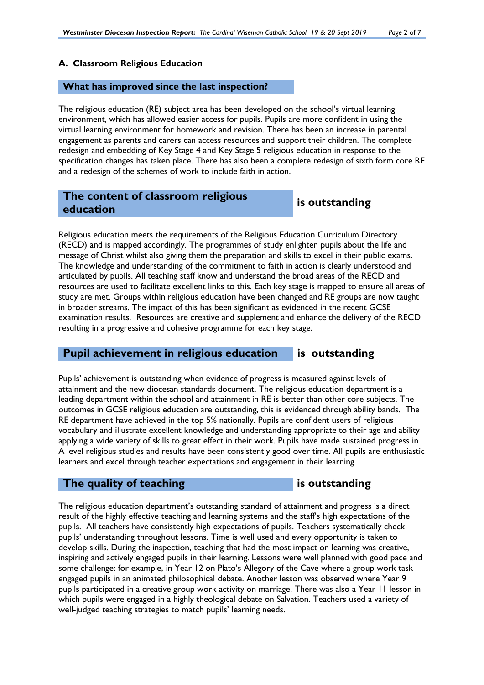#### **A. Classroom Religious Education**

#### **What has improved since the last inspection?**

The religious education (RE) subject area has been developed on the school's virtual learning environment, which has allowed easier access for pupils. Pupils are more confident in using the virtual learning environment for homework and revision. There has been an increase in parental engagement as parents and carers can access resources and support their children. The complete redesign and embedding of Key Stage 4 and Key Stage 5 religious education in response to the specification changes has taken place. There has also been a complete redesign of sixth form core RE and a redesign of the schemes of work to include faith in action.

### **The content of classroom religious education is outstanding**

Religious education meets the requirements of the Religious Education Curriculum Directory (RECD) and is mapped accordingly. The programmes of study enlighten pupils about the life and message of Christ whilst also giving them the preparation and skills to excel in their public exams. The knowledge and understanding of the commitment to faith in action is clearly understood and articulated by pupils. All teaching staff know and understand the broad areas of the RECD and resources are used to facilitate excellent links to this. Each key stage is mapped to ensure all areas of study are met. Groups within religious education have been changed and RE groups are now taught in broader streams. The impact of this has been significant as evidenced in the recent GCSE examination results. Resources are creative and supplement and enhance the delivery of the RECD resulting in a progressive and cohesive programme for each key stage.

#### **Pupil achievement in religious education is outstanding**

Pupils' achievement is outstanding when evidence of progress is measured against levels of attainment and the new diocesan standards document. The religious education department is a leading department within the school and attainment in RE is better than other core subjects. The outcomes in GCSE religious education are outstanding, this is evidenced through ability bands. The RE department have achieved in the top 5% nationally. Pupils are confident users of religious vocabulary and illustrate excellent knowledge and understanding appropriate to their age and ability applying a wide variety of skills to great effect in their work. Pupils have made sustained progress in A level religious studies and results have been consistently good over time. All pupils are enthusiastic learners and excel through teacher expectations and engagement in their learning.

#### **The quality of teaching is outstanding**

The religious education department's outstanding standard of attainment and progress is a direct result of the highly effective teaching and learning systems and the staff's high expectations of the pupils. All teachers have consistently high expectations of pupils. Teachers systematically check pupils' understanding throughout lessons. Time is well used and every opportunity is taken to develop skills. During the inspection, teaching that had the most impact on learning was creative, inspiring and actively engaged pupils in their learning. Lessons were well planned with good pace and some challenge: for example, in Year 12 on Plato's Allegory of the Cave where a group work task engaged pupils in an animated philosophical debate. Another lesson was observed where Year 9 pupils participated in a creative group work activity on marriage. There was also a Year 11 lesson in which pupils were engaged in a highly theological debate on Salvation. Teachers used a variety of well-judged teaching strategies to match pupils' learning needs.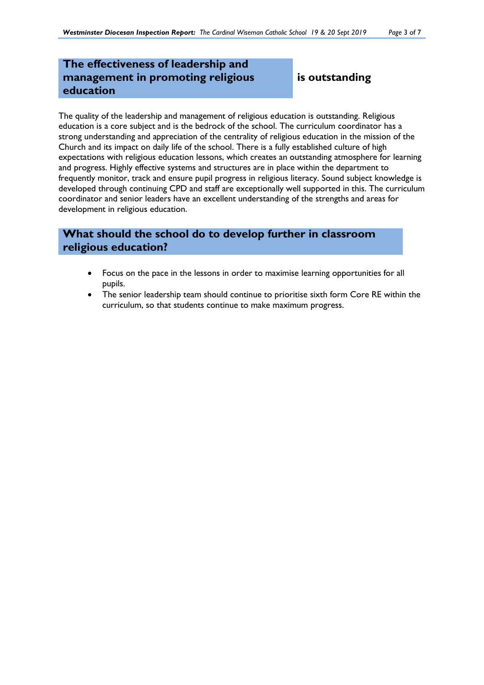# **The effectiveness of leadership and management in promoting religious education**

# **is outstanding**

The quality of the leadership and management of religious education is outstanding. Religious education is a core subject and is the bedrock of the school. The curriculum coordinator has a strong understanding and appreciation of the centrality of religious education in the mission of the Church and its impact on daily life of the school. There is a fully established culture of high expectations with religious education lessons, which creates an outstanding atmosphere for learning and progress. Highly effective systems and structures are in place within the department to frequently monitor, track and ensure pupil progress in religious literacy. Sound subject knowledge is developed through continuing CPD and staff are exceptionally well supported in this. The curriculum coordinator and senior leaders have an excellent understanding of the strengths and areas for development in religious education.

# **What should the school do to develop further in classroom religious education?**

- Focus on the pace in the lessons in order to maximise learning opportunities for all pupils.
- The senior leadership team should continue to prioritise sixth form Core RE within the curriculum, so that students continue to make maximum progress.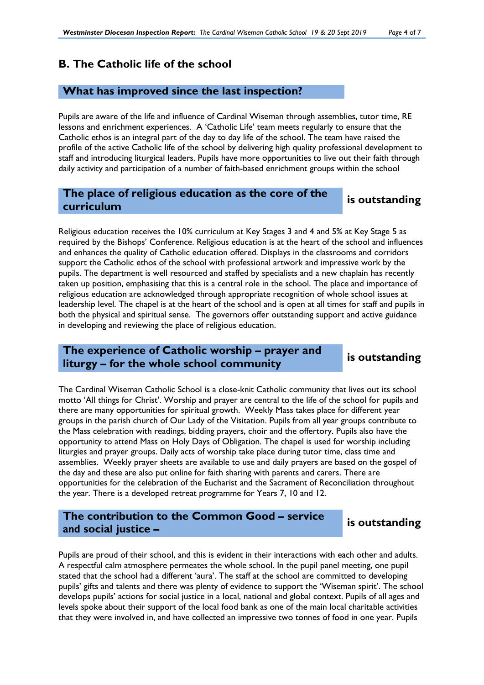# **B. The Catholic life of the school**

#### **What has improved since the last inspection?**

Pupils are aware of the life and influence of Cardinal Wiseman through assemblies, tutor time, RE lessons and enrichment experiences. A 'Catholic Life' team meets regularly to ensure that the Catholic ethos is an integral part of the day to day life of the school. The team have raised the profile of the active Catholic life of the school by delivering high quality professional development to staff and introducing liturgical leaders. Pupils have more opportunities to live out their faith through daily activity and participation of a number of faith-based enrichment groups within the school

### **The place of religious education as the core of the curriculum is outstanding**

#### Religious education receives the 10% curriculum at Key Stages 3 and 4 and 5% at Key Stage 5 as required by the Bishops' Conference. Religious education is at the heart of the school and influences and enhances the quality of Catholic education offered. Displays in the classrooms and corridors support the Catholic ethos of the school with professional artwork and impressive work by the pupils. The department is well resourced and staffed by specialists and a new chaplain has recently taken up position, emphasising that this is a central role in the school. The place and importance of religious education are acknowledged through appropriate recognition of whole school issues at leadership level. The chapel is at the heart of the school and is open at all times for staff and pupils in both the physical and spiritual sense. The governors offer outstanding support and active guidance in developing and reviewing the place of religious education.

### **The experience of Catholic worship – prayer and liturgy – for the whole school community is outstanding**

The Cardinal Wiseman Catholic School is a close-knit Catholic community that lives out its school motto 'All things for Christ'. Worship and prayer are central to the life of the school for pupils and there are many opportunities for spiritual growth. Weekly Mass takes place for different year groups in the parish church of Our Lady of the Visitation. Pupils from all year groups contribute to the Mass celebration with readings, bidding prayers, choir and the offertory. Pupils also have the opportunity to attend Mass on Holy Days of Obligation. The chapel is used for worship including liturgies and prayer groups. Daily acts of worship take place during tutor time, class time and assemblies. Weekly prayer sheets are available to use and daily prayers are based on the gospel of the day and these are also put online for faith sharing with parents and carers. There are opportunities for the celebration of the Eucharist and the Sacrament of Reconciliation throughout the year. There is a developed retreat programme for Years 7, 10 and 12.

# **The contribution to the Common Good – service and social justice –**

### **is outstanding**

Pupils are proud of their school, and this is evident in their interactions with each other and adults. A respectful calm atmosphere permeates the whole school. In the pupil panel meeting, one pupil stated that the school had a different 'aura'. The staff at the school are committed to developing pupils' gifts and talents and there was plenty of evidence to support the 'Wiseman spirit'. The school develops pupils' actions for social justice in a local, national and global context. Pupils of all ages and levels spoke about their support of the local food bank as one of the main local charitable activities that they were involved in, and have collected an impressive two tonnes of food in one year. Pupils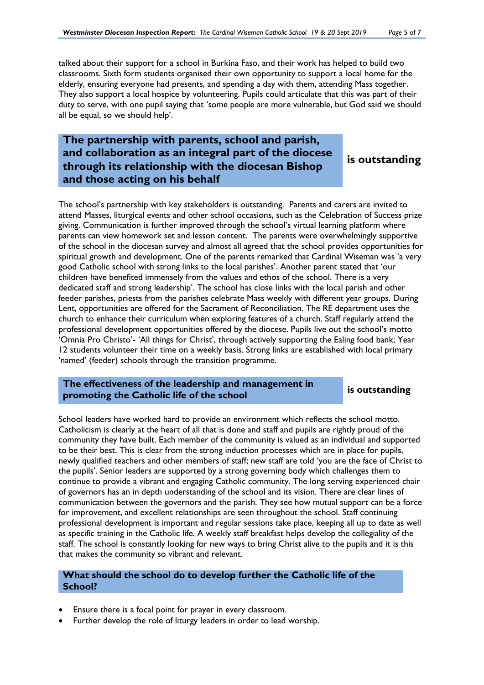talked about their support for a school in Burkina Faso, and their work has helped to build two classrooms. Sixth form students organised their own opportunity to support a local home for the elderly, ensuring everyone had presents, and spending a day with them, attending Mass together. They also support a local hospice by volunteering. Pupils could articulate that this was part of their duty to serve, with one pupil saying that 'some people are more vulnerable, but God said we should all be equal, so we should help'.

# **The partnership with parents, school and parish, and collaboration as an integral part of the diocese through its relationship with the diocesan Bishop and those acting on his behalf**

**is outstanding**

The school's partnership with key stakeholders is outstanding. Parents and carers are invited to attend Masses, liturgical events and other school occasions, such as the Celebration of Success prize giving. Communication is further improved through the school's virtual learning platform where parents can view homework set and lesson content. The parents were overwhelmingly supportive of the school in the diocesan survey and almost all agreed that the school provides opportunities for spiritual growth and development. One of the parents remarked that Cardinal Wiseman was 'a very good Catholic school with strong links to the local parishes'. Another parent stated that 'our children have benefited immensely from the values and ethos of the school. There is a very dedicated staff and strong leadership'. The school has close links with the local parish and other feeder parishes, priests from the parishes celebrate Mass weekly with different year groups. During Lent, opportunities are offered for the Sacrament of Reconciliation. The RE department uses the church to enhance their curriculum when exploring features of a church. Staff regularly attend the professional development opportunities offered by the diocese. Pupils live out the school's motto 'Omnia Pro Christo'- 'All things for Christ', through actively supporting the Ealing food bank; Year 12 students volunteer their time on a weekly basis. Strong links are established with local primary 'named' (feeder) schools through the transition programme.

#### **The effectiveness of the leadership and management in promoting the Catholic life of the school is outstanding**

School leaders have worked hard to provide an environment which reflects the school motto. Catholicism is clearly at the heart of all that is done and staff and pupils are rightly proud of the community they have built. Each member of the community is valued as an individual and supported to be their best. This is clear from the strong induction processes which are in place for pupils, newly qualified teachers and other members of staff; new staff are told 'you are the face of Christ to the pupils'. Senior leaders are supported by a strong governing body which challenges them to continue to provide a vibrant and engaging Catholic community. The long serving experienced chair of governors has an in depth understanding of the school and its vision. There are clear lines of communication between the governors and the parish. They see how mutual support can be a force for improvement, and excellent relationships are seen throughout the school. Staff continuing professional development is important and regular sessions take place, keeping all up to date as well as specific training in the Catholic life. A weekly staff breakfast helps develop the collegiality of the staff. The school is constantly looking for new ways to bring Christ alive to the pupils and it is this that makes the community so vibrant and relevant.

#### **What should the school do to develop further the Catholic life of the School?**

- Ensure there is a focal point for prayer in every classroom.
- Further develop the role of liturgy leaders in order to lead worship.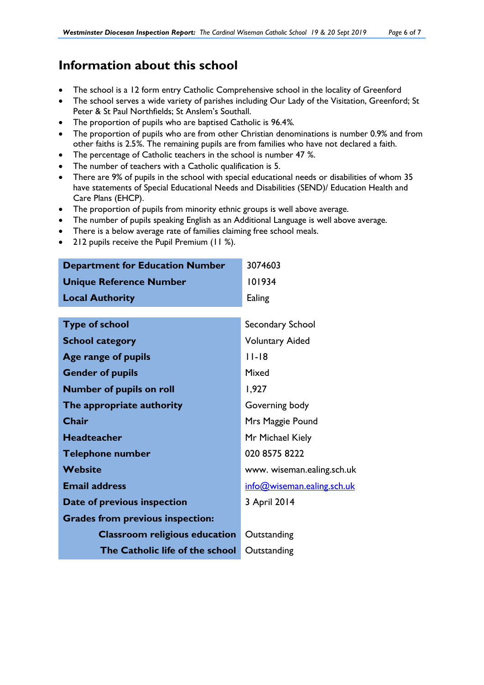# **Information about this school**

- The school is a 12 form entry Catholic Comprehensive school in the locality of Greenford
- The school serves a wide variety of parishes including Our Lady of the Visitation, Greenford; St Peter & St Paul Northfields; St Anslem's Southall.
- The proportion of pupils who are baptised Catholic is 96.4*%.*
- The proportion of pupils who are from other Christian denominations is number 0.9% and from other faiths is 2.5*%*. The remaining pupils are from families who have not declared a faith.
- The percentage of Catholic teachers in the school is number 47 *%*.
- The number of teachers with a Catholic qualification is 5.
- There are 9% of pupils in the school with special educational needs or disabilities of whom 35 have statements of Special Educational Needs and Disabilities (SEND)/ Education Health and Care Plans (EHCP).
- The proportion of pupils from minority ethnic groups is well above average.
- The number of pupils speaking English as an Additional Language is well above average.
- There is a below average rate of families claiming free school meals.
- 212 pupils receive the Pupil Premium (11 %).

| <b>Department for Education Number</b>  | 3074603                    |
|-----------------------------------------|----------------------------|
| <b>Unique Reference Number</b>          | 101934                     |
| <b>Local Authority</b>                  | Ealing                     |
|                                         |                            |
| <b>Type of school</b>                   | Secondary School           |
| <b>School category</b>                  | <b>Voluntary Aided</b>     |
| Age range of pupils                     | $11 - 18$                  |
| <b>Gender of pupils</b>                 | Mixed                      |
| <b>Number of pupils on roll</b>         | 1,927                      |
| The appropriate authority               | Governing body             |
| Chair                                   | Mrs Maggie Pound           |
| <b>Headteacher</b>                      | Mr Michael Kiely           |
| <b>Telephone number</b>                 | 020 8575 8222              |
| <b>Website</b>                          | www. wiseman.ealing.sch.uk |
| <b>Email address</b>                    | info@wiseman.ealing.sch.uk |
| Date of previous inspection             | 3 April 2014               |
| <b>Grades from previous inspection:</b> |                            |
| <b>Classroom religious education</b>    | Outstanding                |
| The Catholic life of the school         | Outstanding                |